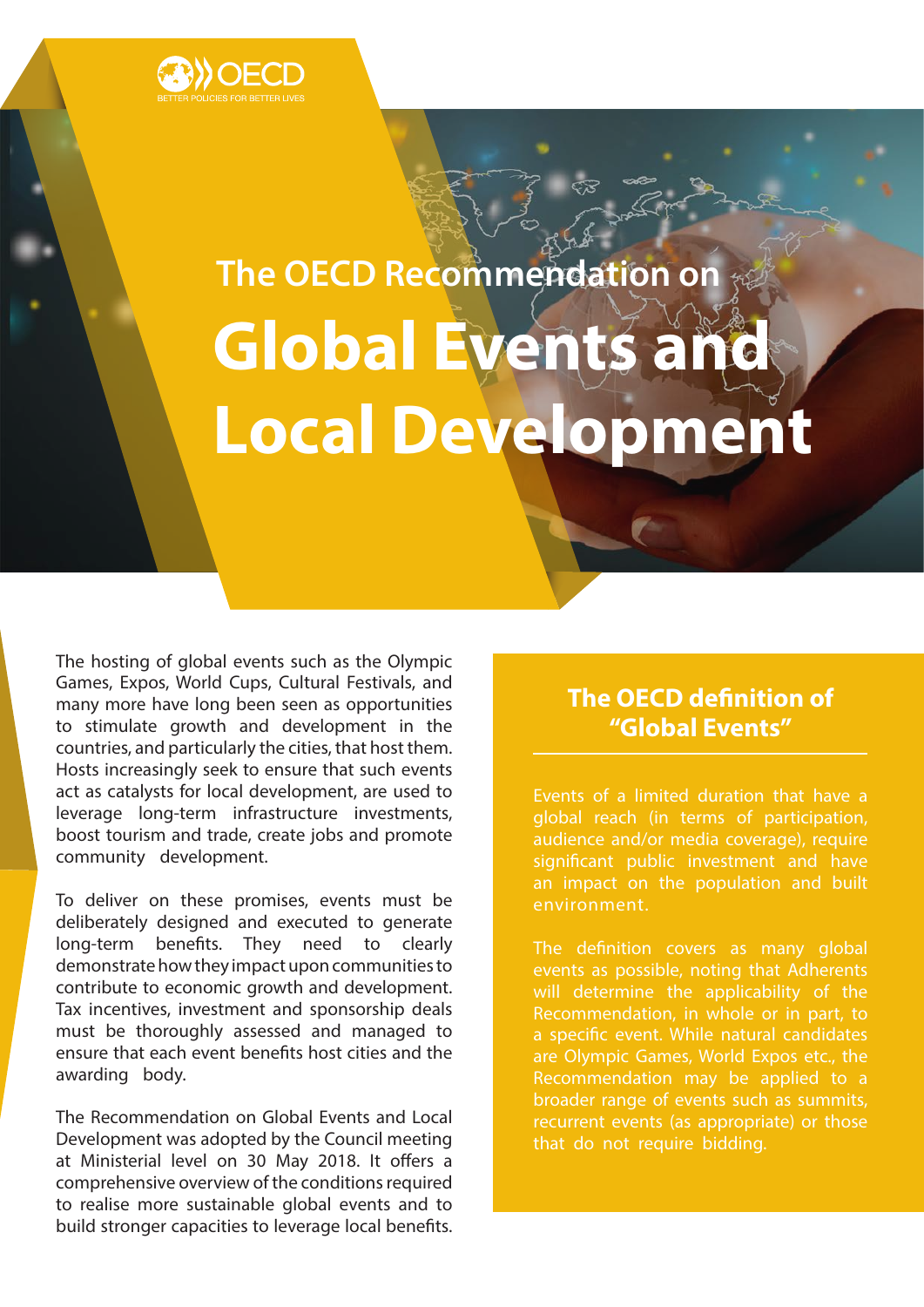

# **The OECD Recommendation on Global Events and Local Development**

The hosting of global events such as the Olympic Games, Expos, World Cups, Cultural Festivals, and many more have long been seen as opportunities to stimulate growth and development in the countries, and particularly the cities, that host them. Hosts increasingly seek to ensure that such events act as catalysts for local development, are used to leverage long-term infrastructure investments, boost tourism and trade, create jobs and promote community development.

To deliver on these promises, events must be deliberately designed and executed to generate long-term benefits. They need to clearly demonstrate how they impact upon communities to contribute to economic growth and development. Tax incentives, investment and sponsorship deals must be thoroughly assessed and managed to ensure that each event benefits host cities and the awarding body.

The Recommendation on Global Events and Local Development was adopted by the Council meeting at Ministerial level on 30 May 2018. It offers a comprehensive overview of the conditions required to realise more sustainable global events and to build stronger capacities to leverage local benefits.

## **The OECD definition of "Global Events"**

Events of a limited duration that have a global reach (in terms of participation, audience and/or media coverage), require significant public investment and have an impact on the population and built environment.

The definition covers as many global events as possible, noting that Adherents will determine the applicability of the Recommendation, in whole or in part, to a specific event. While natural candidates are Olympic Games, World Expos etc., the Recommendation may be applied to a broader range of events such as summits, recurrent events (as appropriate) or those that do not require bidding.